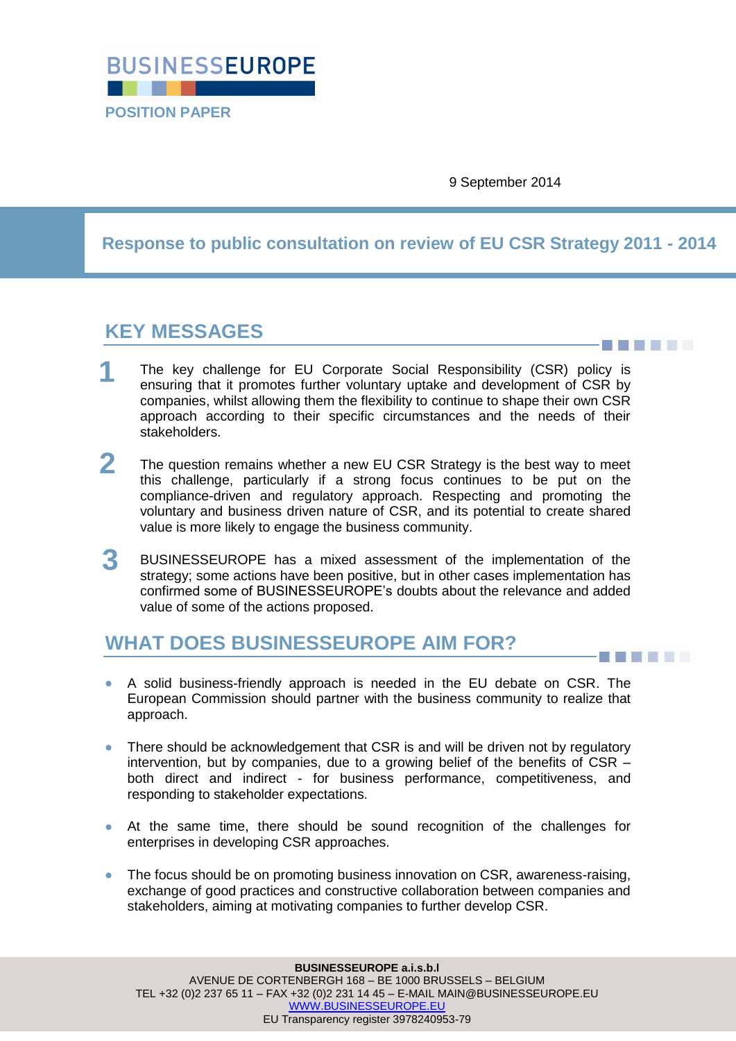

9 September 2014

**Response to public consultation on review of EU CSR Strategy 2011 - 2014**

# **KEY MESSAGES**

**THEFT** 

------

- The key challenge for EU Corporate Social Responsibility (CSR) policy is ensuring that it promotes further voluntary uptake and development of CSR by companies, whilst allowing them the flexibility to continue to shape their own CSR approach according to their specific circumstances and the needs of their stakeholders. **1**
- The question remains whether a new EU CSR Strategy is the best way to meet this challenge, particularly if a strong focus continues to be put on the compliance-driven and regulatory approach. Respecting and promoting the voluntary and business driven nature of CSR, and its potential to create shared value is more likely to engage the business community. **2**
- BUSINESSEUROPE has a mixed assessment of the implementation of the strategy; some actions have been positive, but in other cases implementation has confirmed some of BUSINESSEUROPE"s doubts about the relevance and added value of some of the actions proposed. **3**

# **WHAT DOES BUSINESSEUROPE AIM FOR?**

- A solid business-friendly approach is needed in the EU debate on CSR. The European Commission should partner with the business community to realize that approach.
- There should be acknowledgement that CSR is and will be driven not by regulatory intervention, but by companies, due to a growing belief of the benefits of CSR – both direct and indirect - for business performance, competitiveness, and responding to stakeholder expectations.
- At the same time, there should be sound recognition of the challenges for enterprises in developing CSR approaches.
- The focus should be on promoting business innovation on CSR, awareness-raising, exchange of good practices and constructive collaboration between companies and stakeholders, aiming at motivating companies to further develop CSR.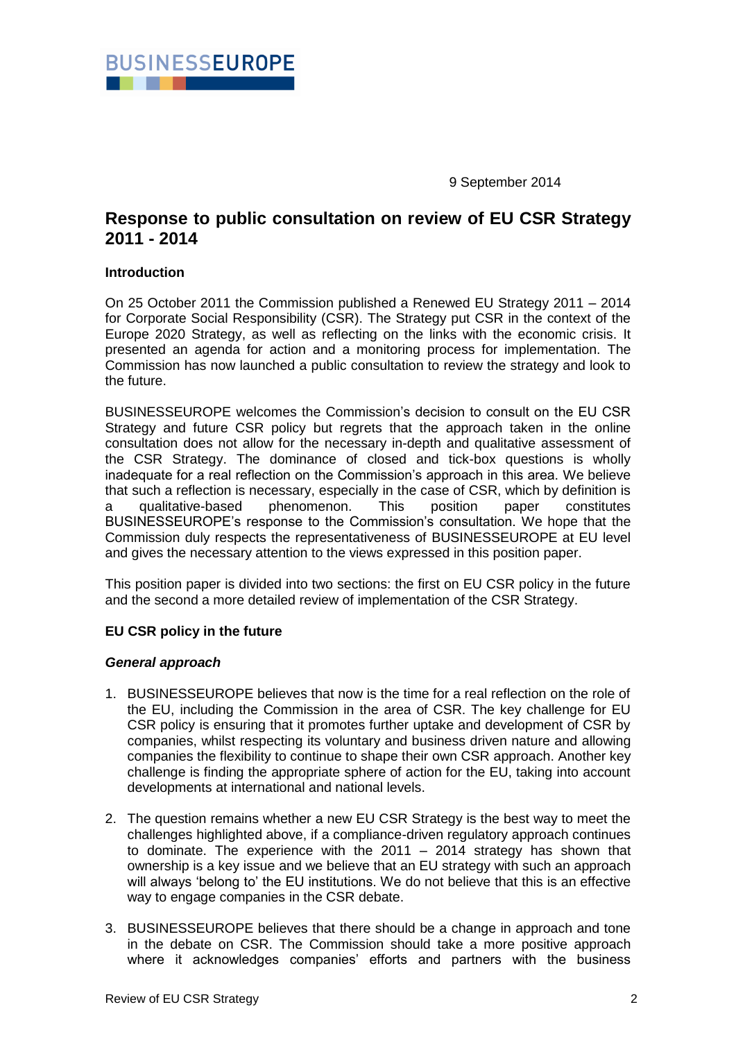

9 September 2014

## **Response to public consultation on review of EU CSR Strategy 2011 - 2014**

#### **Introduction**

On 25 October 2011 the Commission published a Renewed EU Strategy 2011 – 2014 for Corporate Social Responsibility (CSR). The Strategy put CSR in the context of the Europe 2020 Strategy, as well as reflecting on the links with the economic crisis. It presented an agenda for action and a monitoring process for implementation. The Commission has now launched a public consultation to review the strategy and look to the future.

BUSINESSEUROPE welcomes the Commission"s decision to consult on the EU CSR Strategy and future CSR policy but regrets that the approach taken in the online consultation does not allow for the necessary in-depth and qualitative assessment of the CSR Strategy. The dominance of closed and tick-box questions is wholly inadequate for a real reflection on the Commission"s approach in this area. We believe that such a reflection is necessary, especially in the case of CSR, which by definition is a qualitative-based phenomenon. This position paper constitutes BUSINESSEUROPE"s response to the Commission"s consultation. We hope that the Commission duly respects the representativeness of BUSINESSEUROPE at EU level and gives the necessary attention to the views expressed in this position paper.

This position paper is divided into two sections: the first on EU CSR policy in the future and the second a more detailed review of implementation of the CSR Strategy.

### **EU CSR policy in the future**

#### *General approach*

- 1. BUSINESSEUROPE believes that now is the time for a real reflection on the role of the EU, including the Commission in the area of CSR. The key challenge for EU CSR policy is ensuring that it promotes further uptake and development of CSR by companies, whilst respecting its voluntary and business driven nature and allowing companies the flexibility to continue to shape their own CSR approach. Another key challenge is finding the appropriate sphere of action for the EU, taking into account developments at international and national levels.
- 2. The question remains whether a new EU CSR Strategy is the best way to meet the challenges highlighted above, if a compliance-driven regulatory approach continues to dominate. The experience with the 2011 – 2014 strategy has shown that ownership is a key issue and we believe that an EU strategy with such an approach will always "belong to" the EU institutions. We do not believe that this is an effective way to engage companies in the CSR debate.
- 3. BUSINESSEUROPE believes that there should be a change in approach and tone in the debate on CSR. The Commission should take a more positive approach where it acknowledges companies' efforts and partners with the business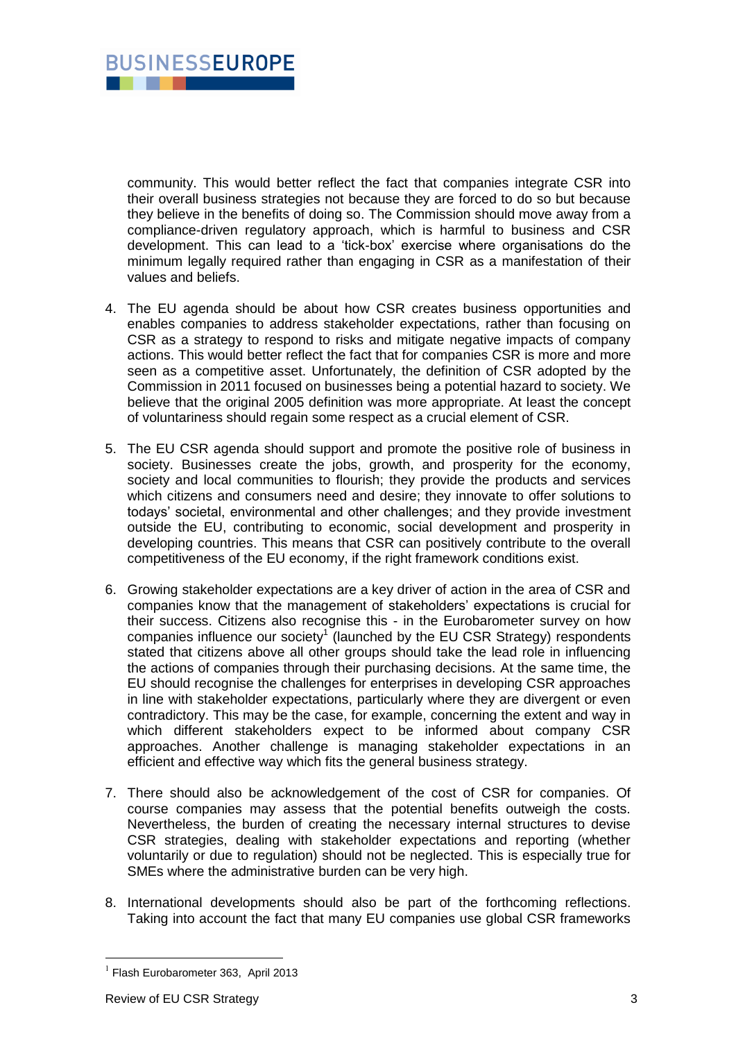

community. This would better reflect the fact that companies integrate CSR into their overall business strategies not because they are forced to do so but because they believe in the benefits of doing so. The Commission should move away from a compliance-driven regulatory approach, which is harmful to business and CSR development. This can lead to a "tick-box" exercise where organisations do the minimum legally required rather than engaging in CSR as a manifestation of their values and beliefs.

- 4. The EU agenda should be about how CSR creates business opportunities and enables companies to address stakeholder expectations, rather than focusing on CSR as a strategy to respond to risks and mitigate negative impacts of company actions. This would better reflect the fact that for companies CSR is more and more seen as a competitive asset. Unfortunately, the definition of CSR adopted by the Commission in 2011 focused on businesses being a potential hazard to society. We believe that the original 2005 definition was more appropriate. At least the concept of voluntariness should regain some respect as a crucial element of CSR.
- 5. The EU CSR agenda should support and promote the positive role of business in society. Businesses create the jobs, growth, and prosperity for the economy, society and local communities to flourish; they provide the products and services which citizens and consumers need and desire; they innovate to offer solutions to todays" societal, environmental and other challenges; and they provide investment outside the EU, contributing to economic, social development and prosperity in developing countries. This means that CSR can positively contribute to the overall competitiveness of the EU economy, if the right framework conditions exist.
- 6. Growing stakeholder expectations are a key driver of action in the area of CSR and companies know that the management of stakeholders" expectations is crucial for their success. Citizens also recognise this - in the Eurobarometer survey on how companies influence our society<sup>1</sup> (launched by the EU CSR Strategy) respondents stated that citizens above all other groups should take the lead role in influencing the actions of companies through their purchasing decisions. At the same time, the EU should recognise the challenges for enterprises in developing CSR approaches in line with stakeholder expectations, particularly where they are divergent or even contradictory. This may be the case, for example, concerning the extent and way in which different stakeholders expect to be informed about company CSR approaches. Another challenge is managing stakeholder expectations in an efficient and effective way which fits the general business strategy.
- 7. There should also be acknowledgement of the cost of CSR for companies. Of course companies may assess that the potential benefits outweigh the costs. Nevertheless, the burden of creating the necessary internal structures to devise CSR strategies, dealing with stakeholder expectations and reporting (whether voluntarily or due to regulation) should not be neglected. This is especially true for SMEs where the administrative burden can be very high.
- 8. International developments should also be part of the forthcoming reflections. Taking into account the fact that many EU companies use global CSR frameworks

1

<sup>&</sup>lt;sup>1</sup> Flash Eurobarometer 363, April 2013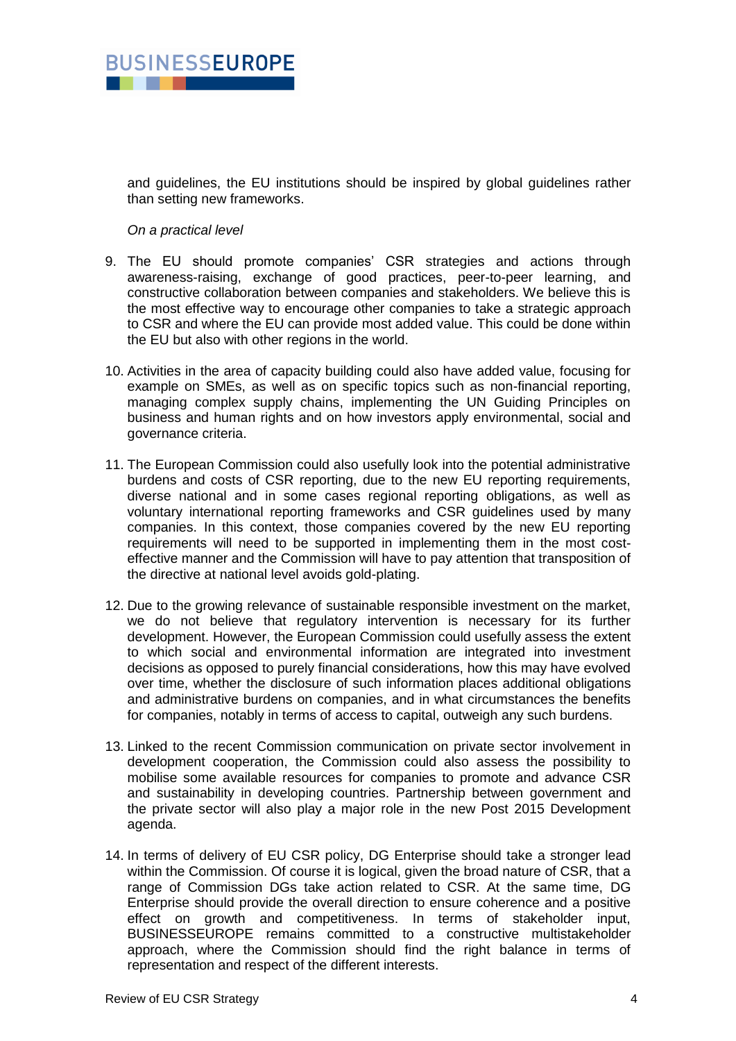

and guidelines, the EU institutions should be inspired by global guidelines rather than setting new frameworks.

#### *On a practical level*

- 9. The EU should promote companies' CSR strategies and actions through awareness-raising, exchange of good practices, peer-to-peer learning, and constructive collaboration between companies and stakeholders. We believe this is the most effective way to encourage other companies to take a strategic approach to CSR and where the EU can provide most added value. This could be done within the EU but also with other regions in the world.
- 10. Activities in the area of capacity building could also have added value, focusing for example on SMEs, as well as on specific topics such as non-financial reporting, managing complex supply chains, implementing the UN Guiding Principles on business and human rights and on how investors apply environmental, social and governance criteria.
- 11. The European Commission could also usefully look into the potential administrative burdens and costs of CSR reporting, due to the new EU reporting requirements, diverse national and in some cases regional reporting obligations, as well as voluntary international reporting frameworks and CSR guidelines used by many companies. In this context, those companies covered by the new EU reporting requirements will need to be supported in implementing them in the most costeffective manner and the Commission will have to pay attention that transposition of the directive at national level avoids gold-plating.
- 12. Due to the growing relevance of sustainable responsible investment on the market, we do not believe that regulatory intervention is necessary for its further development. However, the European Commission could usefully assess the extent to which social and environmental information are integrated into investment decisions as opposed to purely financial considerations, how this may have evolved over time, whether the disclosure of such information places additional obligations and administrative burdens on companies, and in what circumstances the benefits for companies, notably in terms of access to capital, outweigh any such burdens.
- 13. Linked to the recent Commission communication on private sector involvement in development cooperation, the Commission could also assess the possibility to mobilise some available resources for companies to promote and advance CSR and sustainability in developing countries. Partnership between government and the private sector will also play a major role in the new Post 2015 Development agenda.
- 14. In terms of delivery of EU CSR policy, DG Enterprise should take a stronger lead within the Commission. Of course it is logical, given the broad nature of CSR, that a range of Commission DGs take action related to CSR. At the same time, DG Enterprise should provide the overall direction to ensure coherence and a positive effect on growth and competitiveness. In terms of stakeholder input, BUSINESSEUROPE remains committed to a constructive multistakeholder approach, where the Commission should find the right balance in terms of representation and respect of the different interests.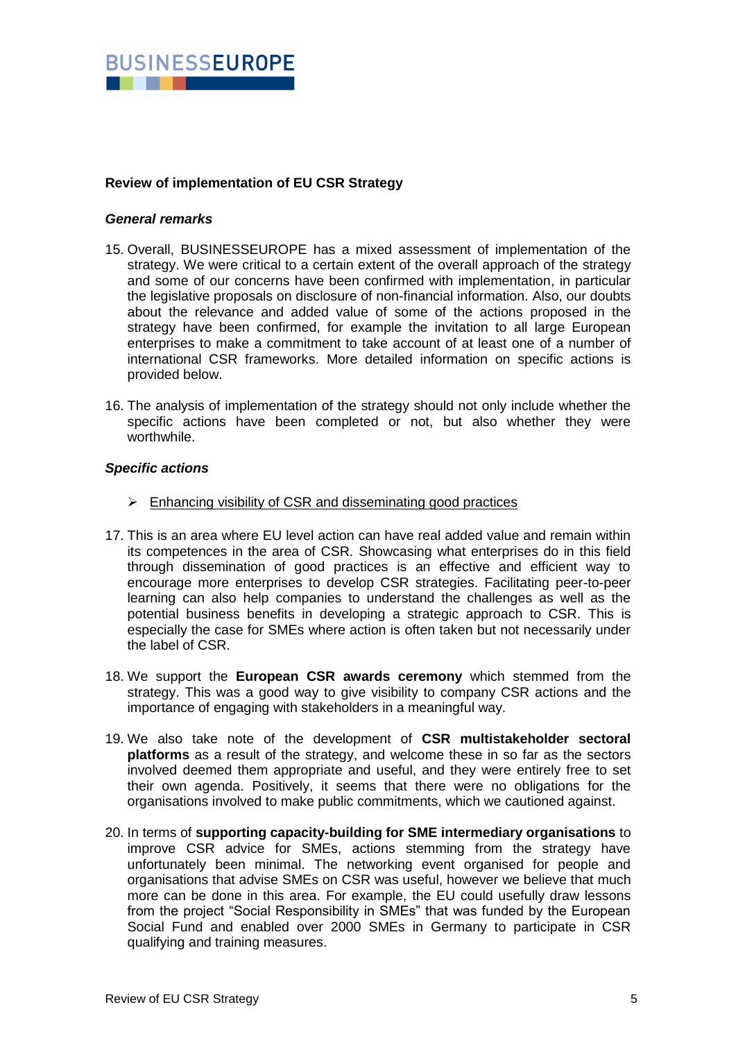

### **Review of implementation of EU CSR Strategy**

#### *General remarks*

- 15. Overall, BUSINESSEUROPE has a mixed assessment of implementation of the strategy. We were critical to a certain extent of the overall approach of the strategy and some of our concerns have been confirmed with implementation, in particular the legislative proposals on disclosure of non-financial information. Also, our doubts about the relevance and added value of some of the actions proposed in the strategy have been confirmed, for example the invitation to all large European enterprises to make a commitment to take account of at least one of a number of international CSR frameworks. More detailed information on specific actions is provided below.
- 16. The analysis of implementation of the strategy should not only include whether the specific actions have been completed or not, but also whether they were worthwhile.

#### *Specific actions*

- $\triangleright$  Enhancing visibility of CSR and disseminating good practices
- 17. This is an area where EU level action can have real added value and remain within its competences in the area of CSR. Showcasing what enterprises do in this field through dissemination of good practices is an effective and efficient way to encourage more enterprises to develop CSR strategies. Facilitating peer-to-peer learning can also help companies to understand the challenges as well as the potential business benefits in developing a strategic approach to CSR. This is especially the case for SMEs where action is often taken but not necessarily under the label of CSR.
- 18. We support the **European CSR awards ceremony** which stemmed from the strategy. This was a good way to give visibility to company CSR actions and the importance of engaging with stakeholders in a meaningful way.
- 19. We also take note of the development of **CSR multistakeholder sectoral platforms** as a result of the strategy, and welcome these in so far as the sectors involved deemed them appropriate and useful, and they were entirely free to set their own agenda. Positively, it seems that there were no obligations for the organisations involved to make public commitments, which we cautioned against.
- 20. In terms of **supporting capacity-building for SME intermediary organisations** to improve CSR advice for SMEs, actions stemming from the strategy have unfortunately been minimal. The networking event organised for people and organisations that advise SMEs on CSR was useful, however we believe that much more can be done in this area. For example, the EU could usefully draw lessons from the project "Social Responsibility in SMEs" that was funded by the European Social Fund and enabled over 2000 SMEs in Germany to participate in CSR qualifying and training measures.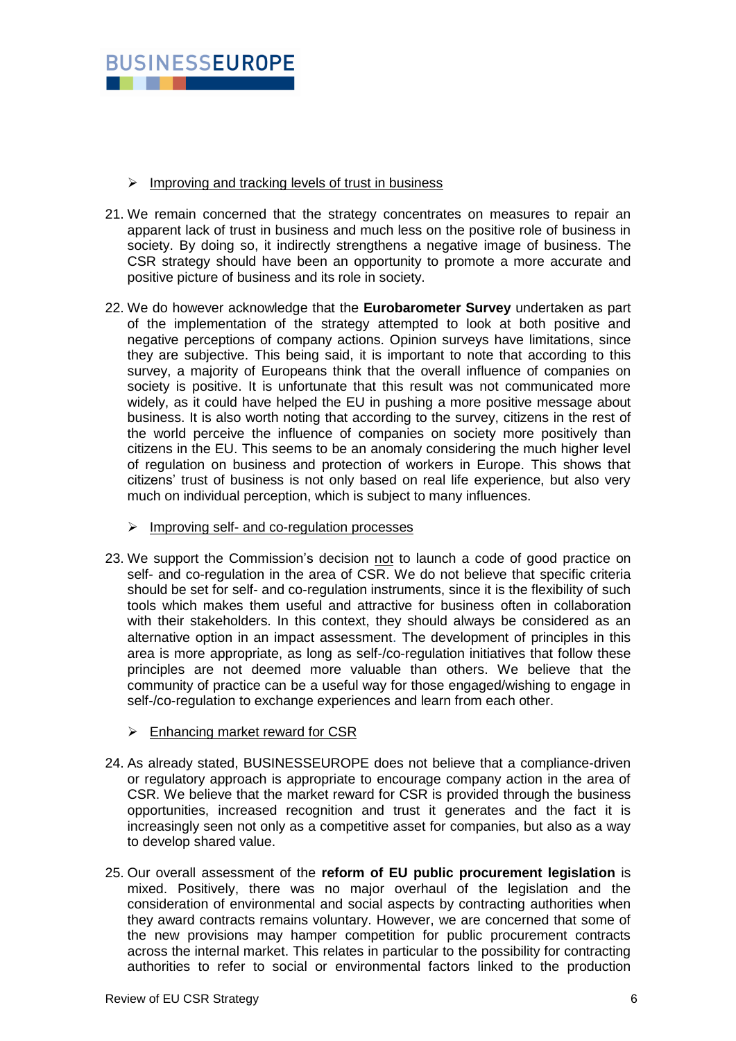

#### $\triangleright$  Improving and tracking levels of trust in business

- 21. We remain concerned that the strategy concentrates on measures to repair an apparent lack of trust in business and much less on the positive role of business in society. By doing so, it indirectly strengthens a negative image of business. The CSR strategy should have been an opportunity to promote a more accurate and positive picture of business and its role in society.
- 22. We do however acknowledge that the **Eurobarometer Survey** undertaken as part of the implementation of the strategy attempted to look at both positive and negative perceptions of company actions. Opinion surveys have limitations, since they are subjective. This being said, it is important to note that according to this survey, a majority of Europeans think that the overall influence of companies on society is positive. It is unfortunate that this result was not communicated more widely, as it could have helped the EU in pushing a more positive message about business. It is also worth noting that according to the survey, citizens in the rest of the world perceive the influence of companies on society more positively than citizens in the EU. This seems to be an anomaly considering the much higher level of regulation on business and protection of workers in Europe. This shows that citizens" trust of business is not only based on real life experience, but also very much on individual perception, which is subject to many influences.
	- $\triangleright$  Improving self- and co-regulation processes
- 23. We support the Commission"s decision not to launch a code of good practice on self- and co-regulation in the area of CSR. We do not believe that specific criteria should be set for self- and co-regulation instruments, since it is the flexibility of such tools which makes them useful and attractive for business often in collaboration with their stakeholders. In this context, they should always be considered as an alternative option in an impact assessment. The development of principles in this area is more appropriate, as long as self-/co-regulation initiatives that follow these principles are not deemed more valuable than others. We believe that the community of practice can be a useful way for those engaged/wishing to engage in self-/co-regulation to exchange experiences and learn from each other.
	- $\triangleright$  Enhancing market reward for CSR
- 24. As already stated, BUSINESSEUROPE does not believe that a compliance-driven or regulatory approach is appropriate to encourage company action in the area of CSR. We believe that the market reward for CSR is provided through the business opportunities, increased recognition and trust it generates and the fact it is increasingly seen not only as a competitive asset for companies, but also as a way to develop shared value.
- 25. Our overall assessment of the **reform of EU public procurement legislation** is mixed. Positively, there was no major overhaul of the legislation and the consideration of environmental and social aspects by contracting authorities when they award contracts remains voluntary. However, we are concerned that some of the new provisions may hamper competition for public procurement contracts across the internal market. This relates in particular to the possibility for contracting authorities to refer to social or environmental factors linked to the production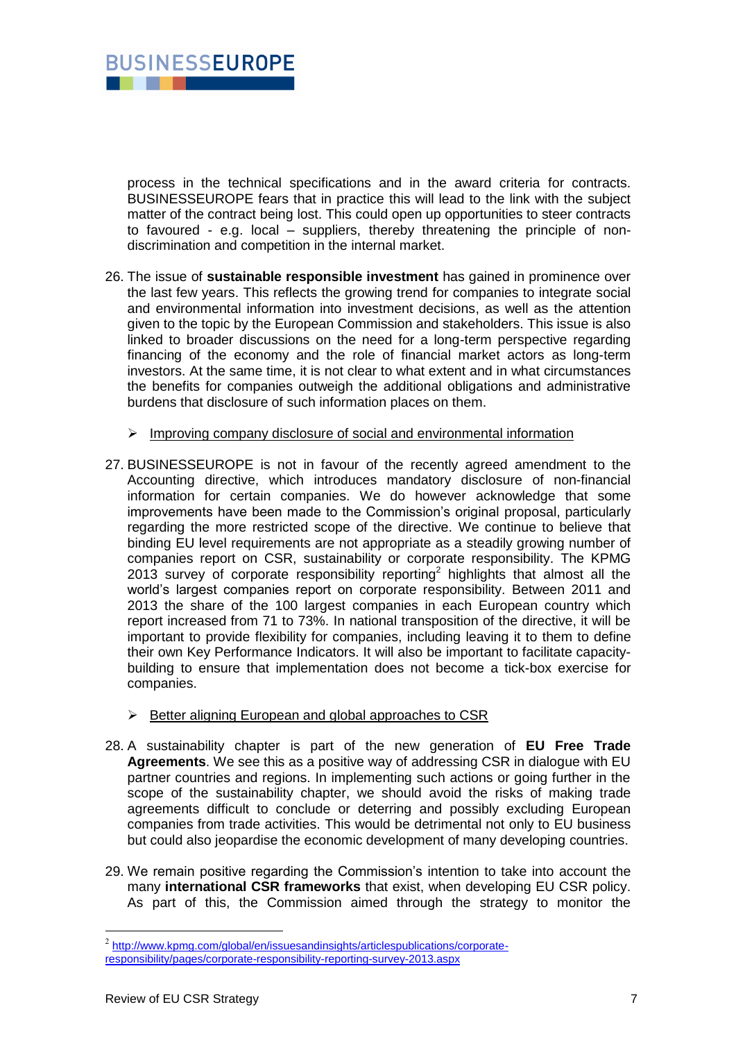

process in the technical specifications and in the award criteria for contracts. BUSINESSEUROPE fears that in practice this will lead to the link with the subject matter of the contract being lost. This could open up opportunities to steer contracts to favoured - e.g. local – suppliers, thereby threatening the principle of nondiscrimination and competition in the internal market.

- 26. The issue of **sustainable responsible investment** has gained in prominence over the last few years. This reflects the growing trend for companies to integrate social and environmental information into investment decisions, as well as the attention given to the topic by the European Commission and stakeholders. This issue is also linked to broader discussions on the need for a long-term perspective regarding financing of the economy and the role of financial market actors as long-term investors. At the same time, it is not clear to what extent and in what circumstances the benefits for companies outweigh the additional obligations and administrative burdens that disclosure of such information places on them.
	- $\triangleright$  Improving company disclosure of social and environmental information
- 27. BUSINESSEUROPE is not in favour of the recently agreed amendment to the Accounting directive, which introduces mandatory disclosure of non-financial information for certain companies. We do however acknowledge that some improvements have been made to the Commission"s original proposal, particularly regarding the more restricted scope of the directive. We continue to believe that binding EU level requirements are not appropriate as a steadily growing number of companies report on CSR, sustainability or corporate responsibility. The KPMG 2013 survey of corporate responsibility reporting<sup>2</sup> highlights that almost all the world"s largest companies report on corporate responsibility. Between 2011 and 2013 the share of the 100 largest companies in each European country which report increased from 71 to 73%. In national transposition of the directive, it will be important to provide flexibility for companies, including leaving it to them to define their own Key Performance Indicators. It will also be important to facilitate capacitybuilding to ensure that implementation does not become a tick-box exercise for companies.
	- $\triangleright$  Better aligning European and global approaches to CSR
- 28. A sustainability chapter is part of the new generation of **EU Free Trade Agreements**. We see this as a positive way of addressing CSR in dialogue with EU partner countries and regions. In implementing such actions or going further in the scope of the sustainability chapter, we should avoid the risks of making trade agreements difficult to conclude or deterring and possibly excluding European companies from trade activities. This would be detrimental not only to EU business but could also jeopardise the economic development of many developing countries.
- 29. We remain positive regarding the Commission"s intention to take into account the many **international CSR frameworks** that exist, when developing EU CSR policy. As part of this, the Commission aimed through the strategy to monitor the

<u>.</u>

<sup>&</sup>lt;sup>2</sup> [http://www.kpmg.com/global/en/issuesandinsights/articlespublications/corporate](http://www.kpmg.com/global/en/issuesandinsights/articlespublications/corporate-responsibility/pages/corporate-responsibility-reporting-survey-2013.aspx)[responsibility/pages/corporate-responsibility-reporting-survey-2013.aspx](http://www.kpmg.com/global/en/issuesandinsights/articlespublications/corporate-responsibility/pages/corporate-responsibility-reporting-survey-2013.aspx)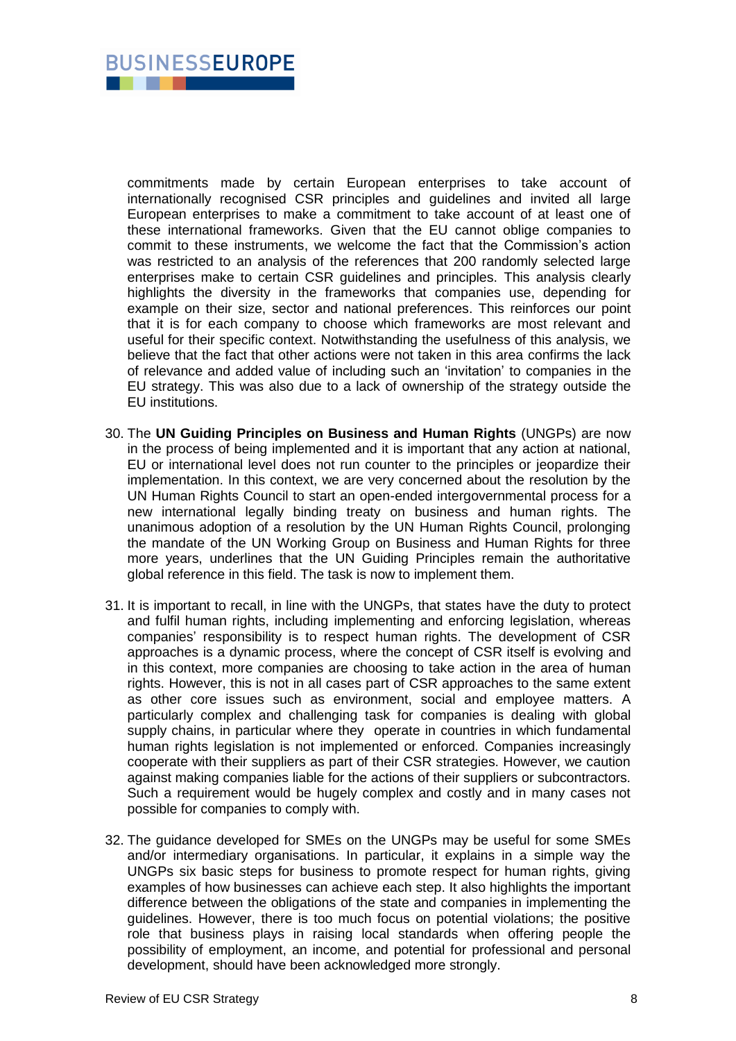

commitments made by certain European enterprises to take account of internationally recognised CSR principles and guidelines and invited all large European enterprises to make a commitment to take account of at least one of these international frameworks. Given that the EU cannot oblige companies to commit to these instruments, we welcome the fact that the Commission"s action was restricted to an analysis of the references that 200 randomly selected large enterprises make to certain CSR guidelines and principles. This analysis clearly highlights the diversity in the frameworks that companies use, depending for example on their size, sector and national preferences. This reinforces our point that it is for each company to choose which frameworks are most relevant and useful for their specific context. Notwithstanding the usefulness of this analysis, we believe that the fact that other actions were not taken in this area confirms the lack of relevance and added value of including such an "invitation" to companies in the EU strategy. This was also due to a lack of ownership of the strategy outside the EU institutions.

- 30. The **UN Guiding Principles on Business and Human Rights** (UNGPs) are now in the process of being implemented and it is important that any action at national, EU or international level does not run counter to the principles or jeopardize their implementation. In this context, we are very concerned about the resolution by the UN Human Rights Council to start an open-ended intergovernmental process for a new international legally binding treaty on business and human rights. The unanimous adoption of a resolution by the UN Human Rights Council, prolonging the mandate of the UN Working Group on Business and Human Rights for three more years, underlines that the UN Guiding Principles remain the authoritative global reference in this field. The task is now to implement them.
- 31. It is important to recall, in line with the UNGPs, that states have the duty to protect and fulfil human rights, including implementing and enforcing legislation, whereas companies" responsibility is to respect human rights. The development of CSR approaches is a dynamic process, where the concept of CSR itself is evolving and in this context, more companies are choosing to take action in the area of human rights. However, this is not in all cases part of CSR approaches to the same extent as other core issues such as environment, social and employee matters. A particularly complex and challenging task for companies is dealing with global supply chains, in particular where they operate in countries in which fundamental human rights legislation is not implemented or enforced. Companies increasingly cooperate with their suppliers as part of their CSR strategies. However, we caution against making companies liable for the actions of their suppliers or subcontractors. Such a requirement would be hugely complex and costly and in many cases not possible for companies to comply with.
- 32. The guidance developed for SMEs on the UNGPs may be useful for some SMEs and/or intermediary organisations. In particular, it explains in a simple way the UNGPs six basic steps for business to promote respect for human rights, giving examples of how businesses can achieve each step. It also highlights the important difference between the obligations of the state and companies in implementing the guidelines. However, there is too much focus on potential violations; the positive role that business plays in raising local standards when offering people the possibility of employment, an income, and potential for professional and personal development, should have been acknowledged more strongly.